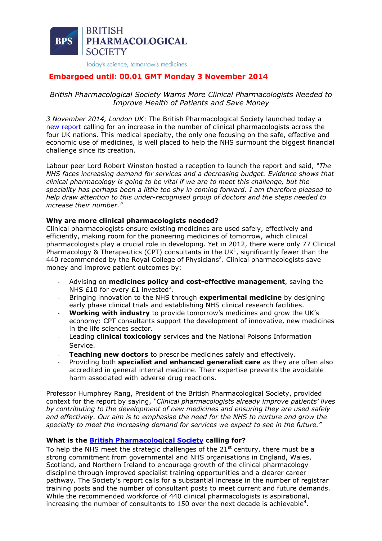

# **Embargoed until: 00.01 GMT Monday 3 November 2014**

# *British Pharmacological Society Warns More Clinical Pharmacologists Needed to Improve Health of Patients and Save Money*

*3 November 2014, London UK*: The British Pharmacological Society launched today a [new report](http://www.bps.ac.uk/SpringboardWebApp/userfiles/bps/file/Clinical/Clinical%20Meetings/BPS_A_prescription_for_the_NHS_FINAL_SP(1).pdf) calling for an increase in the number of clinical pharmacologists across the four UK nations. This medical specialty, the only one focusing on the safe, effective and economic use of medicines, is well placed to help the NHS surmount the biggest financial challenge since its creation.

Labour peer Lord Robert Winston hosted a reception to launch the report and said, *"The NHS faces increasing demand for services and a decreasing budget. Evidence shows that clinical pharmacology is going to be vital if we are to meet this challenge, but the speciality has perhaps been a little too shy in coming forward. I am therefore pleased to help draw attention to this under-recognised group of doctors and the steps needed to increase their number."*

# **Why are more clinical pharmacologists needed?**

Clinical pharmacologists ensure existing medicines are used safely, effectively and efficiently, making room for the pioneering medicines of tomorrow, which clinical pharmacologists play a crucial role in developing. Yet in 2012, there were only 77 Clinical Pharmacology & Therapeutics (CPT) consultants in the UK<sup>1</sup>, significantly fewer than the 440 recommended by the Royal College of Physicians<sup>2</sup>. Clinical pharmacologists save money and improve patient outcomes by:

- Advising on **medicines policy and cost-effective management**, saving the NHS £10 for every £1 invested<sup>3</sup>.
- Bringing innovation to the NHS through **experimental medicine** by designing early phase clinical trials and establishing NHS clinical research facilities.
- **Working with industry** to provide tomorrow's medicines and grow the UK's economy: CPT consultants support the development of innovative, new medicines in the life sciences sector.
- Leading **clinical toxicology** services and the National Poisons Information Service.
- **Teaching new doctors** to prescribe medicines safely and effectively.
- Providing both **specialist and enhanced generalist care** as they are often also accredited in general internal medicine. Their expertise prevents the avoidable harm associated with adverse drug reactions.

Professor Humphrey Rang, President of the British Pharmacological Society, provided context for the report by saying, *"Clinical pharmacologists already improve patients' lives by contributing to the development of new medicines and ensuring they are used safely and effectively. Our aim is to emphasise the need for the NHS to nurture and grow the specialty to meet the increasing demand for services we expect to see in the future."*

# **What is the [British Pharmacological Society](http://www.bps.ac.uk/) calling for?**

To help the NHS meet the strategic challenges of the  $21<sup>st</sup>$  century, there must be a strong commitment from governmental and NHS organisations in England, Wales, Scotland, and Northern Ireland to encourage growth of the clinical pharmacology discipline through improved specialist training opportunities and a clearer career pathway. The Society's report calls for a substantial increase in the number of registrar training posts and the number of consultant posts to meet current and future demands. While the recommended workforce of 440 clinical pharmacologists is aspirational, increasing the number of consultants to 150 over the next decade is achievable<sup>4</sup>.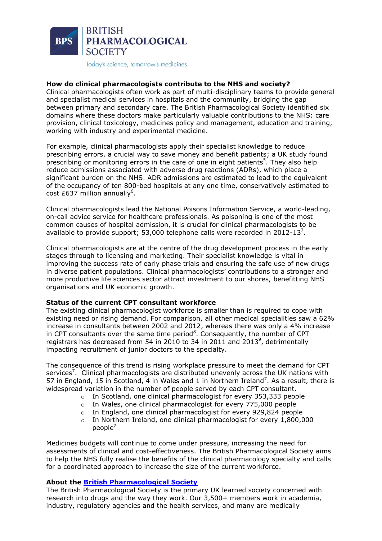

# **How do clinical pharmacologists contribute to the NHS and society?**

Clinical pharmacologists often work as part of multi-disciplinary teams to provide general and specialist medical services in hospitals and the community, bridging the gap between primary and secondary care. The British Pharmacological Society identified six domains where these doctors make particularly valuable contributions to the NHS: care provision, clinical toxicology, medicines policy and management, education and training, working with industry and experimental medicine.

For example, clinical pharmacologists apply their specialist knowledge to reduce prescribing errors, a crucial way to save money and benefit patients; a UK study found prescribing or monitoring errors in the care of one in eight patients<sup>5</sup>. They also help reduce admissions associated with adverse drug reactions (ADRs), which place a significant burden on the NHS. ADR admissions are estimated to lead to the equivalent of the occupancy of ten 800-bed hospitals at any one time, conservatively estimated to cost £637 million annually<sup>6</sup>.

Clinical pharmacologists lead the National Poisons Information Service, a world-leading, on-call advice service for healthcare professionals. As poisoning is one of the most common causes of hospital admission, it is crucial for clinical pharmacologists to be available to provide support; 53,000 telephone calls were recorded in 2012-13<sup>7</sup>.

Clinical pharmacologists are at the centre of the drug development process in the early stages through to licensing and marketing. Their specialist knowledge is vital in improving the success rate of early phase trials and ensuring the safe use of new drugs in diverse patient populations. Clinical pharmacologists' contributions to a stronger and more productive life sciences sector attract investment to our shores, benefitting NHS organisations and UK economic growth.

#### **Status of the current CPT consultant workforce**

The existing clinical pharmacologist workforce is smaller than is required to cope with existing need or rising demand. For comparison, all other medical specialities saw a 62% increase in consultants between 2002 and 2012, whereas there was only a 4% increase in CPT consultants over the same time period<sup>8</sup>. Consequently, the number of CPT registrars has decreased from 54 in 2010 to 34 in 2011 and 2013<sup>9</sup>, detrimentally impacting recruitment of junior doctors to the specialty.

The consequence of this trend is rising workplace pressure to meet the demand for CPT services<sup>7</sup>. Clinical pharmacologists are distributed unevenly across the UK nations with 57 in England, 15 in Scotland, 4 in Wales and 1 in Northern Ireland<sup>7</sup>. As a result, there is widespread variation in the number of people served by each CPT consultant.

- o In Scotland, one clinical pharmacologist for every 353,333 people
- o In Wales, one clinical pharmacologist for every 775,000 people
- o In England, one clinical pharmacologist for every 929,824 people
- $\circ$  In Northern Ireland, one clinical pharmacologist for every 1,800,000 people $<sup>7</sup>$ </sup>

Medicines budgets will continue to come under pressure, increasing the need for assessments of clinical and cost-effectiveness. The British Pharmacological Society aims to help the NHS fully realise the benefits of the clinical pharmacology specialty and calls for a coordinated approach to increase the size of the current workforce.

#### **About the [British Pharmacological Society](http://www.bps.ac.uk/)**

The British Pharmacological Society is the primary UK learned society concerned with research into drugs and the way they work. Our 3,500+ members work in academia, industry, regulatory agencies and the health services, and many are medically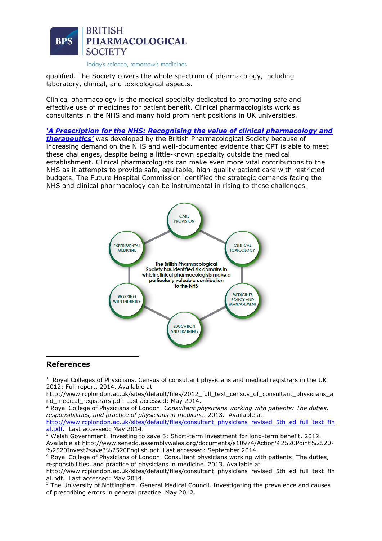

qualified. The Society covers the whole spectrum of pharmacology, including laboratory, clinical, and toxicological aspects.

Clinical pharmacology is the medical specialty dedicated to promoting safe and effective use of medicines for patient benefit. Clinical pharmacologists work as consultants in the NHS and many hold prominent positions in UK universities.

*'A Prescription for the NHS: Recog[nising the value of clinical pharmacology and](http://www.bps.ac.uk/SpringboardWebApp/userfiles/bps/file/Clinical/Clinical%20Meetings/BPS_A_prescription_for_the_NHS_FINAL_SP(1).pdf)  [therapeutics'](http://www.bps.ac.uk/SpringboardWebApp/userfiles/bps/file/Clinical/Clinical%20Meetings/BPS_A_prescription_for_the_NHS_FINAL_SP(1).pdf)* was developed by the British Pharmacological Society because of increasing demand on the NHS and well-documented evidence that CPT is able to meet these challenges, despite being a little-known specialty outside the medical establishment. Clinical pharmacologists can make even more vital contributions to the NHS as it attempts to provide safe, equitable, high-quality patient care with restricted budgets. The Future Hospital Commission identified the strategic demands facing the NHS and clinical pharmacology can be instrumental in rising to these challenges.



#### **References**

1

 $<sup>1</sup>$  Royal Colleges of Physicians. Census of consultant physicians and medical registrars in the UK</sup> 2012: Full report. 2014. Available at

http://www.rcplondon.ac.uk/sites/default/files/2012\_full\_text\_census\_of\_consultant\_physicians\_a nd\_medical\_registrars.pdf. Last accessed: May 2014.

<sup>2</sup> Royal College of Physicians of London. *Consultant physicians working with patients: The duties, responsibilities, and practice of physicians in medicine*. 2013. Available at [http://www.rcplondon.ac.uk/sites/default/files/consultant\\_physicians\\_revised\\_5th\\_ed\\_full\\_text\\_fin](http://www.rcplondon.ac.uk/sites/default/files/consultant_physicians_revised_5th_ed_full_text_final.pdf) [al.pdf.](http://www.rcplondon.ac.uk/sites/default/files/consultant_physicians_revised_5th_ed_full_text_final.pdf) Last accessed: May 2014.

 $3$  Welsh Government. Investing to save 3: Short-term investment for long-term benefit. 2012. Available at http://www.senedd.assemblywales.org/documents/s10974/Action%2520Point%2520- %2520Invest2save3%2520English.pdf. Last accessed: September 2014.

<sup>4</sup> Royal College of Physicians of London. Consultant physicians working with patients: The duties, responsibilities, and practice of physicians in medicine. 2013. Available at

http://www.rcplondon.ac.uk/sites/default/files/consultant\_physicians\_revised\_5th\_ed\_full\_text\_fin al.pdf. Last accessed: May 2014.

<sup>5</sup> The University of Nottingham. General Medical Council. Investigating the prevalence and causes of prescribing errors in general practice. May 2012.